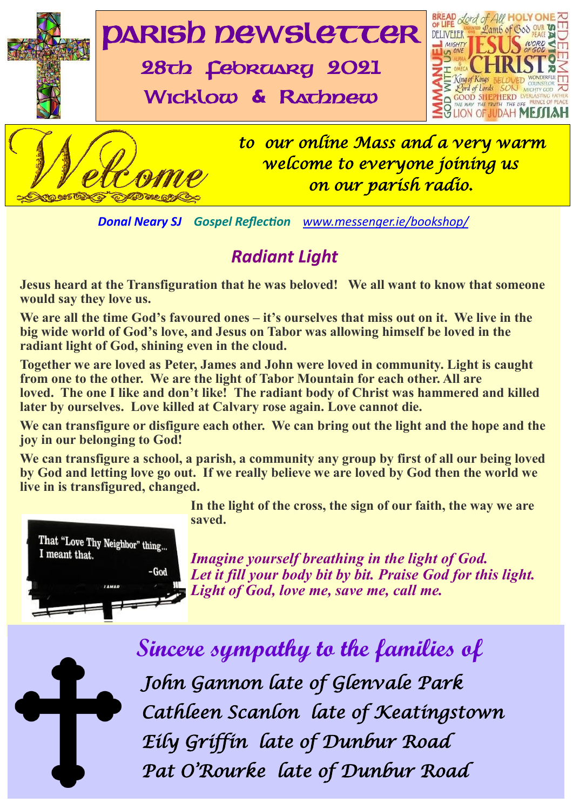

*Donal Neary SJ Gospel Reflection [www.messenger.ie/bookshop/](http://www.messenger.ie/bookshop/)* 

## *Radiant Light*

**Jesus heard at the Transfiguration that he was beloved! We all want to know that someone would say they love us.**

**We are all the time God's favoured ones – it's ourselves that miss out on it. We live in the big wide world of God's love, and Jesus on Tabor was allowing himself be loved in the radiant light of God, shining even in the cloud.**

Mot<br>nt bo<br>again<br>can **Together we are loved as Peter, James and John were loved in community. Light is caught from one to the other. We are the light of Tabor Mountain for each other. All are loved. The one I like and don't like! The radiant body of Christ was hammered and killed later by ourselves. Love killed at Calvary rose again. Love cannot die.**

We can transfigure or disfigure each other. We can bring out the light and the hope and the **joy in our belonging to God!**

**We can transfigure a school, a parish, a community any group by first of all our being loved by God and letting love go out. If we really believe we are loved by God then the world we live in is transfigured, changed.**



**In the light of the cross, the sign of our faith, the way we are saved.**

*Imagine yourself breathing in the light of God. Let it fill your body bit by bit. Praise God for this light. Light of God, love me, save me, call me.* 



|<br>|- **Sincere sympathy to the families of** *John Gannon late of Glenvale Park Cathleen Scanlon late of Keatingstown Eily Griffin late of Dunbur Road Pat O'Rourke late of Dunbur Road*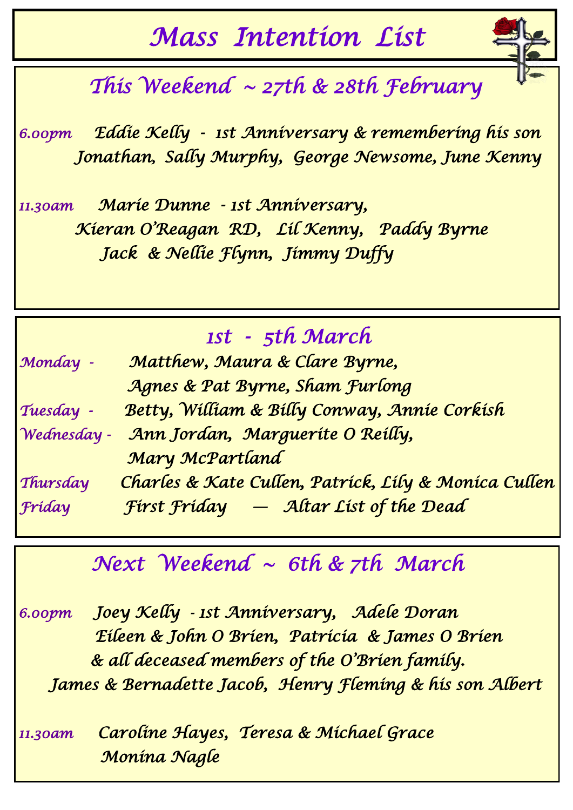*Mass Intention List* 



# *This Weekend ~ 27th & 28th February*

*6.00pm Eddie Kelly - 1st Anniversary & remembering his son Jonathan, Sally Murphy, George Newsome, June Kenny* 

*11.30am Marie Dunne - 1st Anniversary, Kieran O'Reagan RD, Lil Kenny, Paddy Byrne Jack & Nellie Flynn, Jimmy Duffy* 

# *1st - 5th March*

| Monday -    | Matthew, Maura & Clare Byrne,                        |
|-------------|------------------------------------------------------|
|             | Agnes & Pat Byrne, Sham Furlong                      |
| Tuesday -   | Betty, William & Billy Conway, Annie Corkish         |
| Wednesday - | Ann Jordan, Marguerite O Reilly,                     |
|             | Mary McPartland                                      |
| Thursday    | Charles & Kate Cullen, Patrick, Lily & Monica Cullen |
| Fríday      | First Friday - Altar List of the Dead                |

# *Next Weekend ~ 6th & 7th March*

*6.00pm Joey Kelly - 1st Anniversary, Adele Doran Eileen & John O Brien, Patricia & James O Brien & all deceased members of the O'Brien family. James & Bernadette Jacob, Henry Fleming & his son Albert* 

*11.30am Caroline Hayes, Teresa & Michael Grace Monina Nagle*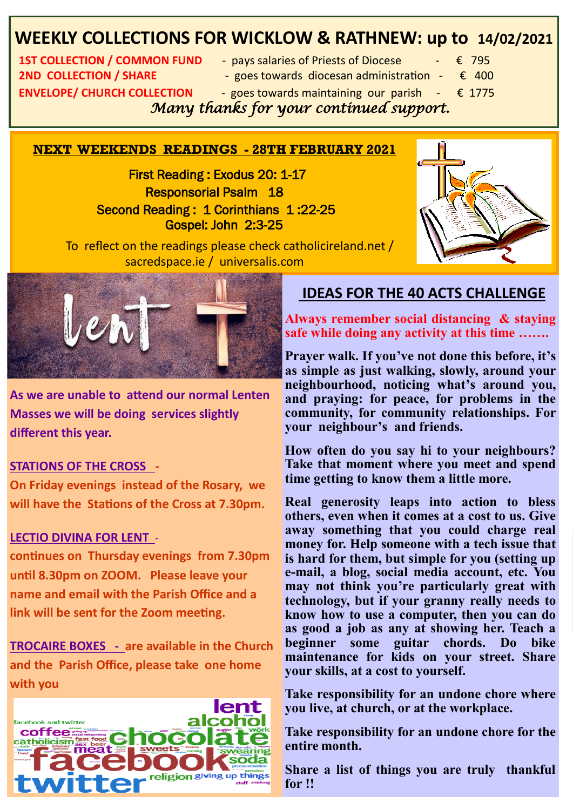## **WEEKLY COLLECTIONS FOR WICKLOW & RATHNEW: up to 14/02/2021**

**2ND COLLECTION / SHARE** - goes towards diocesan administration - € 400 **ENVELOPE/ CHURCH COLLECTION** - goes towards maintaining our parish  $-\epsilon$  1775

- **1ST COLLECTION / COMMON FUND + pays salaries of Priests of Diocese + € 795** 
	-
	- -
- 

 *Many thanks for your continued support.* 

### **NEXT WEEKENDS READINGS - 28TH FEBRUARY 2021**

 First Reading : Exodus 20: 1-17 Responsorial Psalm 18 Second Reading : 1 Corinthians 1 :22-25 Gospel: John 2:3-25



 To reflect on the readings please check catholicireland.net / sacredspace.ie / universalis.com



**As we are unable to attend our normal Lenten Masses we will be doing services slightly different this year.**

### **STATIONS OF THE CROSS -**

**On Friday evenings instead of the Rosary, we will have the Stations of the Cross at 7.30pm.** 

#### **LECTIO DIVINA FOR LENT** -

**continues on Thursday evenings from 7.30pm until 8.30pm on ZOOM. Please leave your name and email with the Parish Office and a link will be sent for the Zoom meeting.** 

**TROCAIRE BOXES - are available in the Church and the Parish Office, please take one home with you** 



### **IDEAS FOR THE 40 ACTS CHALLENGE**

**Always remember social distancing & staying safe while doing any activity at this time …….**

**Prayer walk. If you've not done this before, it's as simple as just walking, slowly, around your neighbourhood, noticing what's around you, and praying: for peace, for problems in the community, for community relationships. For your neighbour's and friends.** 

**How often do you say hi to your neighbours? Take that moment where you meet and spend time getting to know them a little more.** 

**Real generosity leaps into action to bless others, even when it comes at a cost to us. Give away something that you could charge real money for. Help someone with a tech issue that is hard for them, but simple for you (setting up e-mail, a blog, social media account, etc. You may not think you're particularly great with technology, but if your granny really needs to know how to use a computer, then you can do as good a job as any at showing her. Teach a beginner some guitar chords. Do bike maintenance for kids on your street. Share your skills, at a cost to yourself.**

*Congratulation to Congress (need also and also see of the gormley of the gormley and also see also and also see*  $\Gamma$  *and*  $\Gamma$  *and*  $\Gamma$  *and*  $\Gamma$  *and*  $\Gamma$  *and*  $\Gamma$  *and*  $\Gamma$  *and*  $\Gamma$  *and*  $\Gamma$  *and*  $\Gamma$  *and*  $\Gamma$  *and*  $\Gamma$  *and* 

**Parts Colate Take responsibility for an undone chore for the entire month.**

**Franchise Collection** Share a list of things you are truly thankful **for !!**